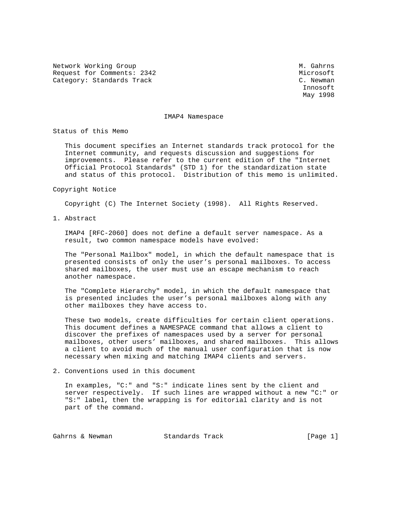Network Working Group Methods and Museum M. Gahrns Request for Comments: 2342 Microsoft Category: Standards Track C. Newman C. Newman

 Innosoft May 1998

## IMAP4 Namespace

Status of this Memo

 This document specifies an Internet standards track protocol for the Internet community, and requests discussion and suggestions for improvements. Please refer to the current edition of the "Internet Official Protocol Standards" (STD 1) for the standardization state and status of this protocol. Distribution of this memo is unlimited.

## Copyright Notice

Copyright (C) The Internet Society (1998). All Rights Reserved.

1. Abstract

 IMAP4 [RFC-2060] does not define a default server namespace. As a result, two common namespace models have evolved:

 The "Personal Mailbox" model, in which the default namespace that is presented consists of only the user's personal mailboxes. To access shared mailboxes, the user must use an escape mechanism to reach another namespace.

 The "Complete Hierarchy" model, in which the default namespace that is presented includes the user's personal mailboxes along with any other mailboxes they have access to.

 These two models, create difficulties for certain client operations. This document defines a NAMESPACE command that allows a client to discover the prefixes of namespaces used by a server for personal mailboxes, other users' mailboxes, and shared mailboxes. This allows a client to avoid much of the manual user configuration that is now necessary when mixing and matching IMAP4 clients and servers.

2. Conventions used in this document

 In examples, "C:" and "S:" indicate lines sent by the client and server respectively. If such lines are wrapped without a new "C:" or "S:" label, then the wrapping is for editorial clarity and is not part of the command.

Gahrns & Newman Standards Track (Page 1)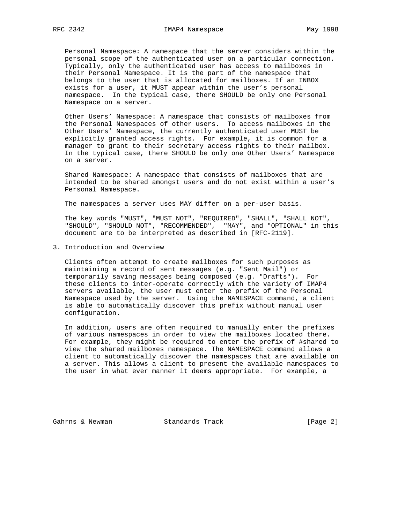Personal Namespace: A namespace that the server considers within the personal scope of the authenticated user on a particular connection. Typically, only the authenticated user has access to mailboxes in their Personal Namespace. It is the part of the namespace that belongs to the user that is allocated for mailboxes. If an INBOX exists for a user, it MUST appear within the user's personal namespace. In the typical case, there SHOULD be only one Personal Namespace on a server.

 Other Users' Namespace: A namespace that consists of mailboxes from the Personal Namespaces of other users. To access mailboxes in the Other Users' Namespace, the currently authenticated user MUST be explicitly granted access rights. For example, it is common for a manager to grant to their secretary access rights to their mailbox. In the typical case, there SHOULD be only one Other Users' Namespace on a server.

 Shared Namespace: A namespace that consists of mailboxes that are intended to be shared amongst users and do not exist within a user's Personal Namespace.

The namespaces a server uses MAY differ on a per-user basis.

 The key words "MUST", "MUST NOT", "REQUIRED", "SHALL", "SHALL NOT", "SHOULD", "SHOULD NOT", "RECOMMENDED", "MAY", and "OPTIONAL" in this document are to be interpreted as described in [RFC-2119].

3. Introduction and Overview

 Clients often attempt to create mailboxes for such purposes as maintaining a record of sent messages (e.g. "Sent Mail") or temporarily saving messages being composed (e.g. "Drafts"). For these clients to inter-operate correctly with the variety of IMAP4 servers available, the user must enter the prefix of the Personal Namespace used by the server. Using the NAMESPACE command, a client is able to automatically discover this prefix without manual user configuration.

 In addition, users are often required to manually enter the prefixes of various namespaces in order to view the mailboxes located there. For example, they might be required to enter the prefix of #shared to view the shared mailboxes namespace. The NAMESPACE command allows a client to automatically discover the namespaces that are available on a server. This allows a client to present the available namespaces to the user in what ever manner it deems appropriate. For example, a

Gahrns & Newman Standards Track (Page 2)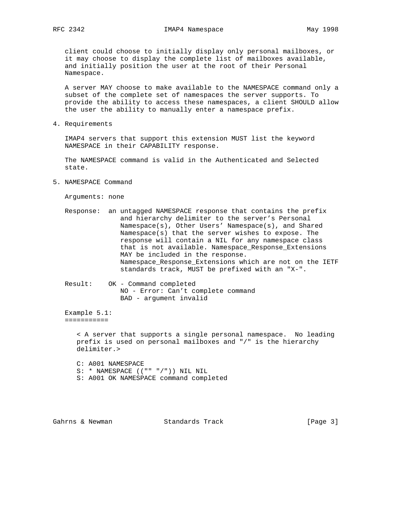client could choose to initially display only personal mailboxes, or it may choose to display the complete list of mailboxes available, and initially position the user at the root of their Personal Namespace.

 A server MAY choose to make available to the NAMESPACE command only a subset of the complete set of namespaces the server supports. To provide the ability to access these namespaces, a client SHOULD allow the user the ability to manually enter a namespace prefix.

4. Requirements

 IMAP4 servers that support this extension MUST list the keyword NAMESPACE in their CAPABILITY response.

 The NAMESPACE command is valid in the Authenticated and Selected state.

5. NAMESPACE Command

Arguments: none

- Response: an untagged NAMESPACE response that contains the prefix and hierarchy delimiter to the server's Personal Namespace(s), Other Users' Namespace(s), and Shared Namespace(s) that the server wishes to expose. The response will contain a NIL for any namespace class that is not available. Namespace\_Response\_Extensions MAY be included in the response. Namespace\_Response\_Extensions which are not on the IETF standards track, MUST be prefixed with an "X-".
- Result: OK Command completed NO - Error: Can't complete command BAD - argument invalid

 Example 5.1: ===========

> < A server that supports a single personal namespace. No leading prefix is used on personal mailboxes and "/" is the hierarchy delimiter.>

 C: A001 NAMESPACE S: \* NAMESPACE (("" "/")) NIL NIL S: A001 OK NAMESPACE command completed

Gahrns & Newman Standards Track (Page 3)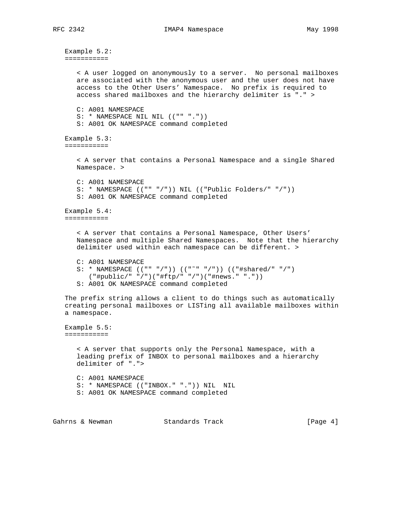```
 Example 5.2:
===========
   < A user logged on anonymously to a server. No personal mailboxes
   are associated with the anonymous user and the user does not have
   access to the Other Users' Namespace. No prefix is required to
  access shared mailboxes and the hierarchy delimiter is "." >
  C: A001 NAMESPACE
   S: * NAMESPACE NIL NIL (("" "."))
   S: A001 OK NAMESPACE command completed
Example 5.3:
===========
   < A server that contains a Personal Namespace and a single Shared
  Namespace. >
  C: A001 NAMESPACE
  S: * NAMESPACE (("" "/")) NIL (("Public Folders/" "/"))
   S: A001 OK NAMESPACE command completed
Example 5.4:
===========
   < A server that contains a Personal Namespace, Other Users'
  Namespace and multiple Shared Namespaces. Note that the hierarchy
   delimiter used within each namespace can be different. >
  C: A001 NAMESPACE
   S: * NAMESPACE (("" "/")) (("˜" "/")) (("#shared/" "/")
      ("#public/" "/")("#ftp/" "/")("#news." "."))
   S: A001 OK NAMESPACE command completed
The prefix string allows a client to do things such as automatically
creating personal mailboxes or LISTing all available mailboxes within
a namespace.
Example 5.5:
===========
   < A server that supports only the Personal Namespace, with a
   leading prefix of INBOX to personal mailboxes and a hierarchy
   delimiter of ".">
  C: A001 NAMESPACE
   S: * NAMESPACE (("INBOX." ".")) NIL NIL
   S: A001 OK NAMESPACE command completed
```
Gahrns & Newman Standards Track (Page 4)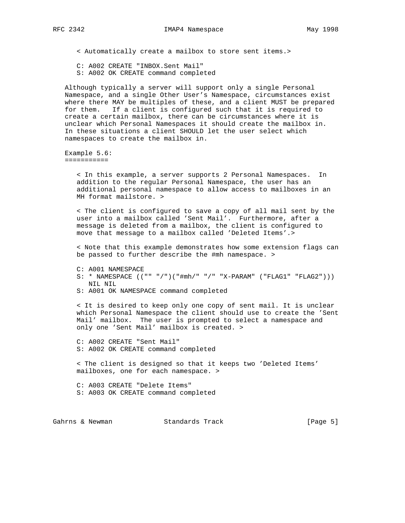< Automatically create a mailbox to store sent items.>

C: A002 CREATE "INBOX.Sent Mail"

S: A002 OK CREATE command completed

 Although typically a server will support only a single Personal Namespace, and a single Other User's Namespace, circumstances exist where there MAY be multiples of these, and a client MUST be prepared for them. If a client is configured such that it is required to create a certain mailbox, there can be circumstances where it is unclear which Personal Namespaces it should create the mailbox in. In these situations a client SHOULD let the user select which namespaces to create the mailbox in.

 Example 5.6: ===========

> < In this example, a server supports 2 Personal Namespaces. In addition to the regular Personal Namespace, the user has an additional personal namespace to allow access to mailboxes in an MH format mailstore. >

 < The client is configured to save a copy of all mail sent by the user into a mailbox called 'Sent Mail'. Furthermore, after a message is deleted from a mailbox, the client is configured to move that message to a mailbox called 'Deleted Items'.>

 < Note that this example demonstrates how some extension flags can be passed to further describe the #mh namespace. >

```
 C: A001 NAMESPACE
```
- S: \* NAMESPACE (("" "/")("#mh/" "/" "X-PARAM" ("FLAG1" "FLAG2"))) NIL NIL
- S: A001 OK NAMESPACE command completed

 < It is desired to keep only one copy of sent mail. It is unclear which Personal Namespace the client should use to create the 'Sent Mail' mailbox. The user is prompted to select a namespace and only one 'Sent Mail' mailbox is created. >

 C: A002 CREATE "Sent Mail" S: A002 OK CREATE command completed

 < The client is designed so that it keeps two 'Deleted Items' mailboxes, one for each namespace. >

 C: A003 CREATE "Delete Items" S: A003 OK CREATE command completed

Gahrns & Newman Standards Track (Page 5)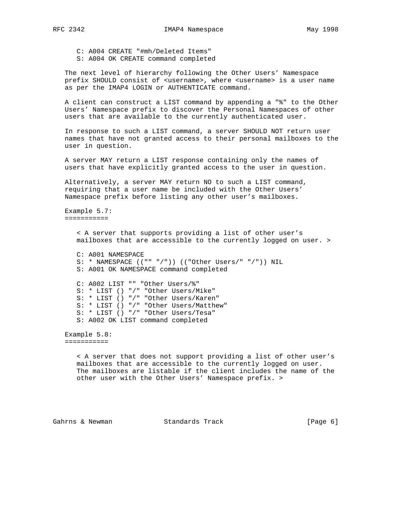C: A004 CREATE "#mh/Deleted Items" S: A004 OK CREATE command completed

 The next level of hierarchy following the Other Users' Namespace prefix SHOULD consist of <username>, where <username> is a user name as per the IMAP4 LOGIN or AUTHENTICATE command.

 A client can construct a LIST command by appending a "%" to the Other Users' Namespace prefix to discover the Personal Namespaces of other users that are available to the currently authenticated user.

 In response to such a LIST command, a server SHOULD NOT return user names that have not granted access to their personal mailboxes to the user in question.

 A server MAY return a LIST response containing only the names of users that have explicitly granted access to the user in question.

 Alternatively, a server MAY return NO to such a LIST command, requiring that a user name be included with the Other Users' Namespace prefix before listing any other user's mailboxes.

 Example 5.7: ===========

> < A server that supports providing a list of other user's mailboxes that are accessible to the currently logged on user. > C: A001 NAMESPACE

 S: \* NAMESPACE (("" "/")) (("Other Users/" "/")) NIL S: A001 OK NAMESPACE command completed

 C: A002 LIST "" "Other Users/%" S: \* LIST () "/" "Other Users/Mike" S: \* LIST () "/" "Other Users/Karen" S: \* LIST () "/" "Other Users/Matthew" S: \* LIST () "/" "Other Users/Tesa" S: A002 OK LIST command completed

 Example 5.8: ===========

> < A server that does not support providing a list of other user's mailboxes that are accessible to the currently logged on user. The mailboxes are listable if the client includes the name of the other user with the Other Users' Namespace prefix. >

Gahrns & Newman Standards Track (Page 6)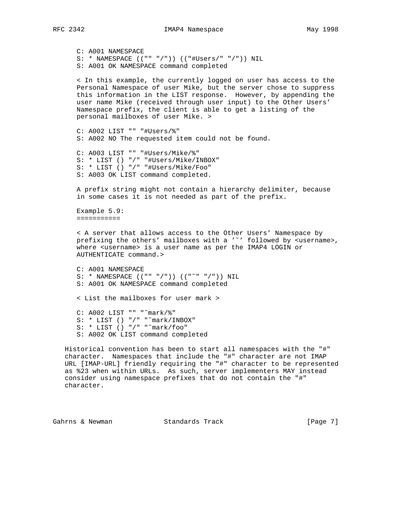character.

 C: A001 NAMESPACE S: \* NAMESPACE (("" "/")) (("#Users/" "/")) NIL S: A001 OK NAMESPACE command completed < In this example, the currently logged on user has access to the Personal Namespace of user Mike, but the server chose to suppress this information in the LIST response. However, by appending the user name Mike (received through user input) to the Other Users' Namespace prefix, the client is able to get a listing of the personal mailboxes of user Mike. > C: A002 LIST "" "#Users/%" S: A002 NO The requested item could not be found. C: A003 LIST "" "#Users/Mike/%" S: \* LIST () "/" "#Users/Mike/INBOX" S: \* LIST () "/" "#Users/Mike/Foo" S: A003 OK LIST command completed. A prefix string might not contain a hierarchy delimiter, because in some cases it is not needed as part of the prefix. Example 5.9: =========== < A server that allows access to the Other Users' Namespace by prefixing the others' mailboxes with a ' $\sim$ ' followed by <username>, where <username> is a user name as per the IMAP4 LOGIN or AUTHENTICATE command.> C: A001 NAMESPACE S: \* NAMESPACE (("" "/")) (("˜" "/")) NIL S: A001 OK NAMESPACE command completed < List the mailboxes for user mark > C: A002 LIST "" "˜mark/%" S: \* LIST () "/" "˜mark/INBOX" S: \* LIST () "/" "˜mark/foo" S: A002 OK LIST command completed Historical convention has been to start all namespaces with the "#" character. Namespaces that include the "#" character are not IMAP URL [IMAP-URL] friendly requiring the "#" character to be represented as %23 when within URLs. As such, server implementers MAY instead

Gahrns & Newman Standards Track [Page 7]

consider using namespace prefixes that do not contain the "#"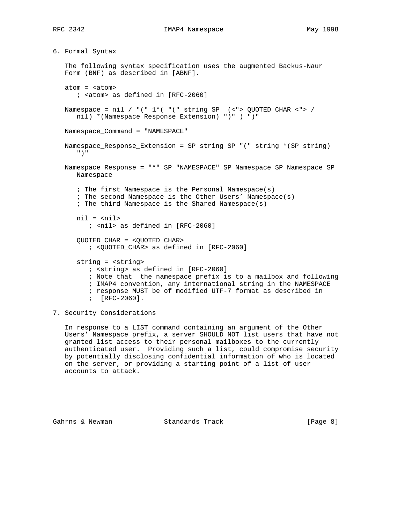6. Formal Syntax

 The following syntax specification uses the augmented Backus-Naur Form (BNF) as described in [ABNF]. atom = <atom> ; <atom> as defined in [RFC-2060] Namespace = nil / "(" 1\*( "(" string SP (<"> QUOTED\_CHAR <"> / nil) \*(Namespace Response Extension) ")" ) ")" Namespace\_Command = "NAMESPACE" Namespace\_Response\_Extension = SP string SP "(" string \*(SP string) ")" Namespace\_Response = "\*" SP "NAMESPACE" SP Namespace SP Namespace SP Namespace ; The first Namespace is the Personal Namespace(s) ; The second Namespace is the Other Users' Namespace(s) ; The third Namespace is the Shared Namespace(s)  $nil = *ni*l$  ; <nil> as defined in [RFC-2060] QUOTED\_CHAR = <QUOTED\_CHAR> ; <QUOTED\_CHAR> as defined in [RFC-2060] string = <string> ; <string> as defined in [RFC-2060] ; Note that the namespace prefix is to a mailbox and following ; IMAP4 convention, any international string in the NAMESPACE ; response MUST be of modified UTF-7 format as described in ; [RFC-2060].

7. Security Considerations

 In response to a LIST command containing an argument of the Other Users' Namespace prefix, a server SHOULD NOT list users that have not granted list access to their personal mailboxes to the currently authenticated user. Providing such a list, could compromise security by potentially disclosing confidential information of who is located on the server, or providing a starting point of a list of user accounts to attack.

Gahrns & Newman Standards Track (Page 8)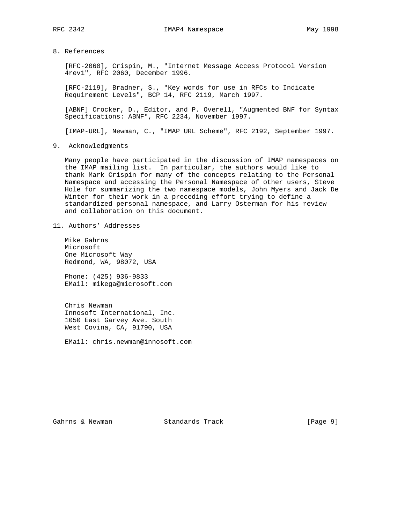8. References

 [RFC-2060], Crispin, M., "Internet Message Access Protocol Version 4rev1", RFC 2060, December 1996.

 [RFC-2119], Bradner, S., "Key words for use in RFCs to Indicate Requirement Levels", BCP 14, RFC 2119, March 1997.

 [ABNF] Crocker, D., Editor, and P. Overell, "Augmented BNF for Syntax Specifications: ABNF", RFC 2234, November 1997.

[IMAP-URL], Newman, C., "IMAP URL Scheme", RFC 2192, September 1997.

9. Acknowledgments

 Many people have participated in the discussion of IMAP namespaces on the IMAP mailing list. In particular, the authors would like to thank Mark Crispin for many of the concepts relating to the Personal Namespace and accessing the Personal Namespace of other users, Steve Hole for summarizing the two namespace models, John Myers and Jack De Winter for their work in a preceding effort trying to define a standardized personal namespace, and Larry Osterman for his review and collaboration on this document.

11. Authors' Addresses

 Mike Gahrns Microsoft One Microsoft Way Redmond, WA, 98072, USA

 Phone: (425) 936-9833 EMail: mikega@microsoft.com

 Chris Newman Innosoft International, Inc. 1050 East Garvey Ave. South West Covina, CA, 91790, USA

EMail: chris.newman@innosoft.com

Gahrns & Newman Standards Track [Page 9]